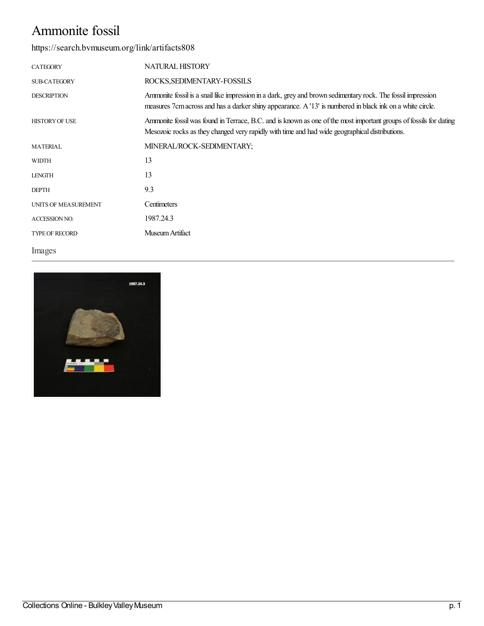### Ammonite fossil

<https://search.bvmuseum.org/link/artifacts808>

| <b>NATURAL HISTORY</b>                                                                                                                                                                                                    |
|---------------------------------------------------------------------------------------------------------------------------------------------------------------------------------------------------------------------------|
| ROCKS, SEDIMENTARY-FOSSILS                                                                                                                                                                                                |
| Ammonite fossil is a snail like impression in a dark, grey and brown sedimentary rock. The fossil impression<br>measures 7cm across and has a darker shiny appearance. A '13' is numbered in black ink on a white circle. |
| Ammonite fossil was found in Terrace, B.C. and is known as one of the most important groups of fossils for dating<br>Mesozoic rocks as they changed very rapidly with time and had wide geographical distributions.       |
| MINERAL/ROCK-SEDIMENTARY;                                                                                                                                                                                                 |
| 13                                                                                                                                                                                                                        |
| 13                                                                                                                                                                                                                        |
| 9.3                                                                                                                                                                                                                       |
| Centimeters                                                                                                                                                                                                               |
| 1987.24.3                                                                                                                                                                                                                 |
| Museum Artifact                                                                                                                                                                                                           |
|                                                                                                                                                                                                                           |

Images

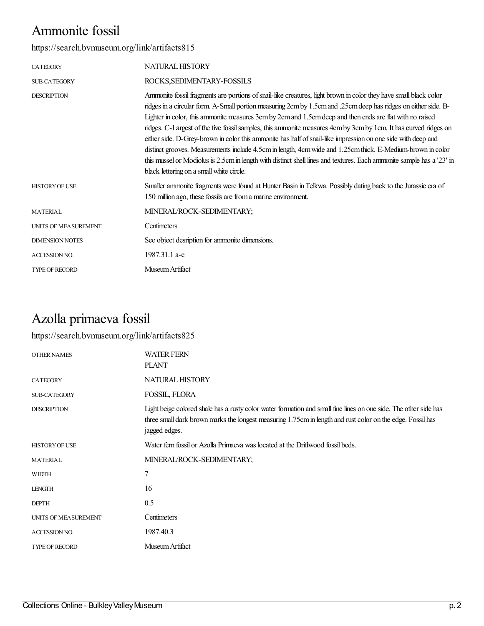#### Ammonite fossil

#### <https://search.bvmuseum.org/link/artifacts815>

| <b>CATEGORY</b>        | <b>NATURAL HISTORY</b>                                                                                                                                                                                                                                                                                                                                                                                                                                                                                                                                                                                                                                                                                                                                                                                                                                               |
|------------------------|----------------------------------------------------------------------------------------------------------------------------------------------------------------------------------------------------------------------------------------------------------------------------------------------------------------------------------------------------------------------------------------------------------------------------------------------------------------------------------------------------------------------------------------------------------------------------------------------------------------------------------------------------------------------------------------------------------------------------------------------------------------------------------------------------------------------------------------------------------------------|
| <b>SUB-CATEGORY</b>    | ROCKS, SEDIMENTARY-FOSSILS                                                                                                                                                                                                                                                                                                                                                                                                                                                                                                                                                                                                                                                                                                                                                                                                                                           |
| <b>DESCRIPTION</b>     | Ammonite fossil fragments are portions of snail-like creatures, light brown in color they have small black color<br>ridges in a circular form. A-Small portion measuring 2cm by 1.5cm and .25cm deep has ridges on either side. B-<br>Lighter in color, this ammonite measures 3cm by 2cm and 1.5cm deep and then ends are flat with no raised<br>ridges. C-Largest of the five fossil samples, this ammonite measures 4cm by 3cm by 1cm. It has curved ridges on<br>either side. D-Grey-brown in color this ammonite has half of snail-like impression on one side with deep and<br>distinct grooves. Measurements include 4.5cm in length, 4cm wide and 1.25cm thick. E-Medium-brown in color<br>this mussel or Modiolus is 2.5cm in length with distinct shell lines and textures. Each ammonite sample has a '23' in<br>black lettering on a small white circle. |
| <b>HISTORY OF USE</b>  | Smaller ammonite fragments were found at Hunter Basin in Telkwa. Possibly dating back to the Jurassic era of<br>150 million ago, these fossils are from a marine environment.                                                                                                                                                                                                                                                                                                                                                                                                                                                                                                                                                                                                                                                                                        |
| <b>MATERIAL</b>        | MINERAL/ROCK-SEDIMENTARY;                                                                                                                                                                                                                                                                                                                                                                                                                                                                                                                                                                                                                                                                                                                                                                                                                                            |
| UNITS OF MEASUREMENT   | Centimeters                                                                                                                                                                                                                                                                                                                                                                                                                                                                                                                                                                                                                                                                                                                                                                                                                                                          |
| <b>DIMENSION NOTES</b> | See object desription for ammonite dimensions.                                                                                                                                                                                                                                                                                                                                                                                                                                                                                                                                                                                                                                                                                                                                                                                                                       |
| <b>ACCESSION NO.</b>   | 1987.31.1 a-e                                                                                                                                                                                                                                                                                                                                                                                                                                                                                                                                                                                                                                                                                                                                                                                                                                                        |
| <b>TYPE OF RECORD</b>  | Museum Artifact                                                                                                                                                                                                                                                                                                                                                                                                                                                                                                                                                                                                                                                                                                                                                                                                                                                      |

#### Azolla primaeva fossil

| <b>OTHER NAMES</b>    | <b>WATER FERN</b><br><b>PLANT</b>                                                                                                                                                                                                               |
|-----------------------|-------------------------------------------------------------------------------------------------------------------------------------------------------------------------------------------------------------------------------------------------|
| <b>CATEGORY</b>       | <b>NATURAL HISTORY</b>                                                                                                                                                                                                                          |
| <b>SUB-CATEGORY</b>   | <b>FOSSIL, FLORA</b>                                                                                                                                                                                                                            |
| <b>DESCRIPTION</b>    | Light beige colored shale has a rusty color water formation and small fine lines on one side. The other side has<br>three small dark brown marks the longest measuring 1.75cm in length and rust color on the edge. Fossil has<br>jagged edges. |
| <b>HISTORY OF USE</b> | Water fern fossil or Azolla Primaeva was located at the Driftwood fossil beds.                                                                                                                                                                  |
| <b>MATERIAL</b>       | MINERAL/ROCK-SEDIMENTARY;                                                                                                                                                                                                                       |
| <b>WIDTH</b>          | $\overline{7}$                                                                                                                                                                                                                                  |
| <b>LENGTH</b>         | 16                                                                                                                                                                                                                                              |
| <b>DEPTH</b>          | 0.5                                                                                                                                                                                                                                             |
| UNITS OF MEASUREMENT  | Centimeters                                                                                                                                                                                                                                     |
| ACCESSION NO.         | 1987.40.3                                                                                                                                                                                                                                       |
| TYPE OF RECORD        | Museum Artifact                                                                                                                                                                                                                                 |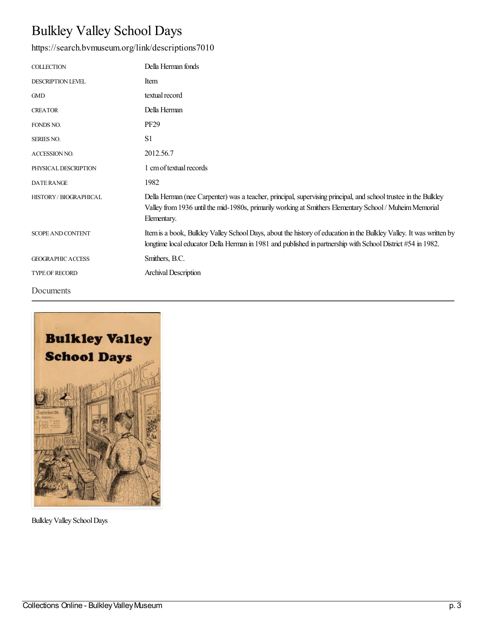## Bulkley Valley School Days

<https://search.bvmuseum.org/link/descriptions7010>

| <b>COLLECTION</b>        | Della Herman fonds                                                                                                                                                                                                                        |
|--------------------------|-------------------------------------------------------------------------------------------------------------------------------------------------------------------------------------------------------------------------------------------|
| DESCRIPTION LEVEL        | Item                                                                                                                                                                                                                                      |
| <b>GMD</b>               | textual record                                                                                                                                                                                                                            |
| <b>CREATOR</b>           | Della Herman                                                                                                                                                                                                                              |
| FONDS NO.                | <b>PF29</b>                                                                                                                                                                                                                               |
| <b>SERIES NO.</b>        | S <sub>1</sub>                                                                                                                                                                                                                            |
| ACCESSION NO.            | 2012.56.7                                                                                                                                                                                                                                 |
| PHYSICAL DESCRIPTION     | 1 cm of textual records                                                                                                                                                                                                                   |
| <b>DATERANGE</b>         | 1982                                                                                                                                                                                                                                      |
| HISTORY / BIOGRAPHICAL   | Della Herman (nee Carpenter) was a teacher, principal, supervising principal, and school trustee in the Bulkley<br>Valley from 1936 until the mid-1980s, primarily working at Smithers Elementary School / Muheim Memorial<br>Elementary. |
| <b>SCOPE AND CONTENT</b> | Item is a book, Bulkley Valley School Days, about the history of education in the Bulkley Valley. It was written by<br>longtime local educator Della Herman in 1981 and published in partnership with School District #54 in 1982.        |
| <b>GEOGRAPHIC ACCESS</b> | Smithers, B.C.                                                                                                                                                                                                                            |
| TYPE OF RECORD           | Archival Description                                                                                                                                                                                                                      |
| Documents                |                                                                                                                                                                                                                                           |



Bulkley Valley School Days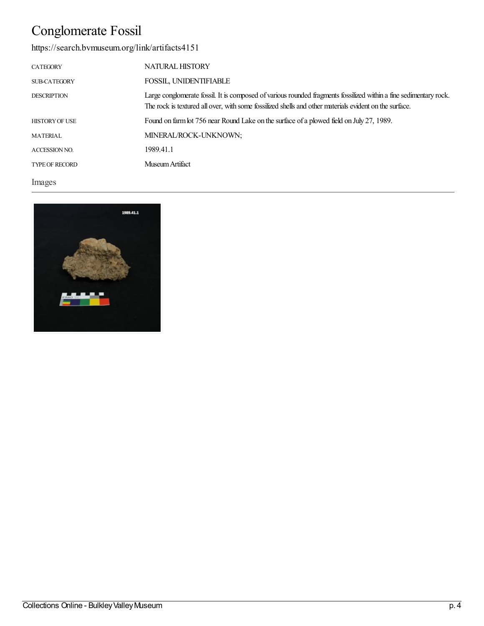# Conglomerate Fossil

| <b>CATEGORY</b>       | NATURAL HISTORY                                                                                                                                                                                                             |
|-----------------------|-----------------------------------------------------------------------------------------------------------------------------------------------------------------------------------------------------------------------------|
| <b>SUB-CATEGORY</b>   | <b>FOSSIL, UNIDENTIFIABLE</b>                                                                                                                                                                                               |
| <b>DESCRIPTION</b>    | Large conglomerate fossil. It is composed of various rounded fragments fossilized within a fine sedimentary rock.<br>The rock is textured all over, with some fossilized shells and other materials evident on the surface. |
| <b>HISTORY OF USE</b> | Found on farm lot 756 near Round Lake on the surface of a plowed field on July 27, 1989.                                                                                                                                    |
| <b>MATERIAL</b>       | MINERAL/ROCK-UNKNOWN;                                                                                                                                                                                                       |
| <b>ACCESSION NO.</b>  | 1989.41.1                                                                                                                                                                                                                   |
| <b>TYPE OF RECORD</b> | Museum Artifact                                                                                                                                                                                                             |
| Images                |                                                                                                                                                                                                                             |

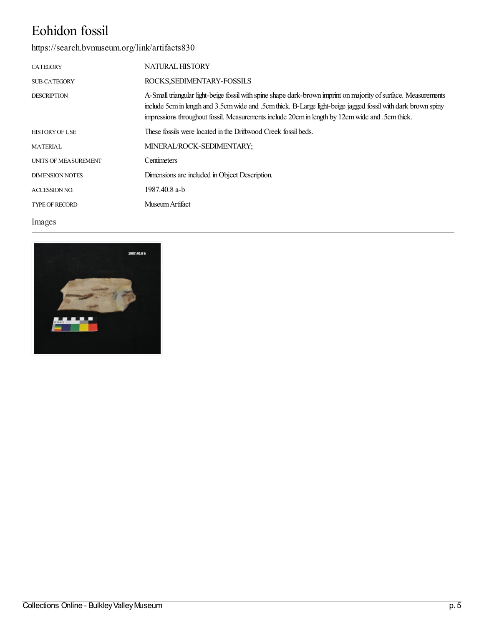### Eohidon fossil

| <b>CATEGORY</b>        | NATURAL HISTORY                                                                                                                                                                                                                                                                                                                   |
|------------------------|-----------------------------------------------------------------------------------------------------------------------------------------------------------------------------------------------------------------------------------------------------------------------------------------------------------------------------------|
| <b>SUB-CATEGORY</b>    | ROCKS, SEDIMENTARY-FOSSILS                                                                                                                                                                                                                                                                                                        |
| <b>DESCRIPTION</b>     | A-Small triangular light-beige fossil with spine shape dark-brown imprint on majority of surface. Measurements<br>include 5cm in length and 3.5cm wide and .5cm thick. B-Large light-beige jagged fossil with dark brown spiny<br>impressions throughout fossil. Measurements include 20cm in length by 12cm wide and .5cm thick. |
| <b>HISTORY OF USE</b>  | These fossils were located in the Driftwood Creek fossil beds.                                                                                                                                                                                                                                                                    |
| <b>MATERIAL</b>        | MINERAL/ROCK-SEDIMENTARY;                                                                                                                                                                                                                                                                                                         |
| UNITS OF MEASUREMENT   | <b>Centimeters</b>                                                                                                                                                                                                                                                                                                                |
| <b>DIMENSION NOTES</b> | Dimensions are included in Object Description.                                                                                                                                                                                                                                                                                    |
| <b>ACCESSION NO.</b>   | 1987.40.8 a-b                                                                                                                                                                                                                                                                                                                     |
| <b>TYPE OF RECORD</b>  | Museum Artifact                                                                                                                                                                                                                                                                                                                   |
| Images                 |                                                                                                                                                                                                                                                                                                                                   |

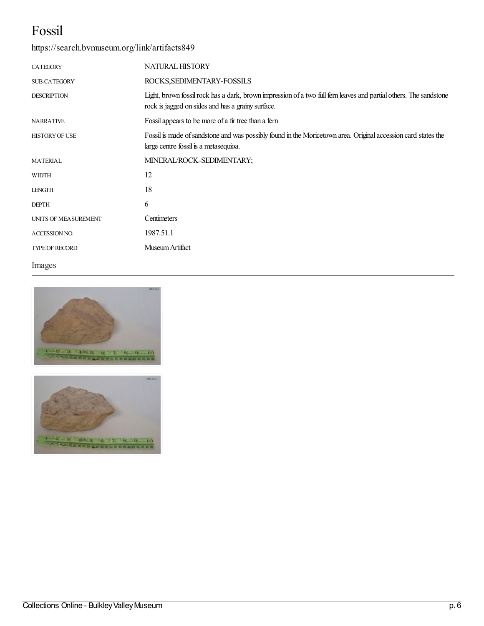| <b>CATEGORY</b>       | NATURAL HISTORY                                                                                                                                                        |
|-----------------------|------------------------------------------------------------------------------------------------------------------------------------------------------------------------|
| <b>SUB-CATEGORY</b>   | ROCKS, SEDIMENTARY-FOSSILS                                                                                                                                             |
| <b>DESCRIPTION</b>    | Light, brown fossil rock has a dark, brown impression of a two full fern leaves and partial others. The sandstone<br>rock is jagged on sides and has a grainy surface. |
| <b>NARRATIVE</b>      | Fossil appears to be more of a fir tree than a fern                                                                                                                    |
| <b>HISTORY OF USE</b> | Fossil is made of sandstone and was possibly found in the Moricetown area. Original accession card states the<br>large centre fossil is a metasequioa.                 |
| <b>MATERIAL</b>       | MINERAL/ROCK-SEDIMENTARY;                                                                                                                                              |
| <b>WIDTH</b>          | 12                                                                                                                                                                     |
| <b>LENGTH</b>         | 18                                                                                                                                                                     |
| <b>DEPTH</b>          | 6                                                                                                                                                                      |
| UNITS OF MEASUREMENT  | Centimeters                                                                                                                                                            |
| ACCESSION NO.         | 1987.51.1                                                                                                                                                              |
| TYPE OF RECORD        | Museum Artifact                                                                                                                                                        |
| Images                |                                                                                                                                                                        |



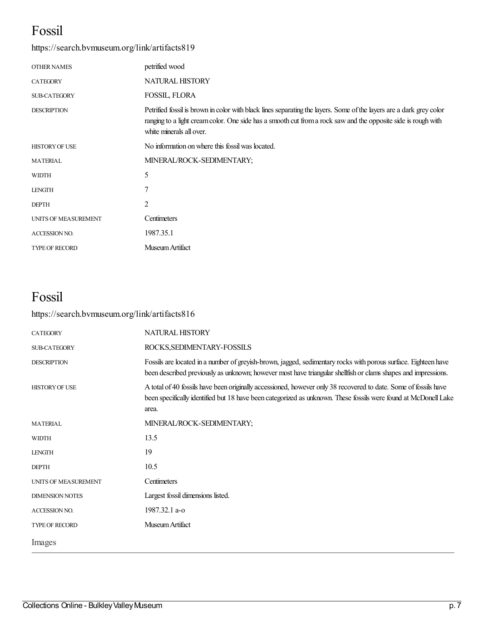<https://search.bvmuseum.org/link/artifacts819>

| <b>OTHER NAMES</b>    | petrified wood                                                                                                                                                                                                                                                   |
|-----------------------|------------------------------------------------------------------------------------------------------------------------------------------------------------------------------------------------------------------------------------------------------------------|
| <b>CATEGORY</b>       | <b>NATURAL HISTORY</b>                                                                                                                                                                                                                                           |
| <b>SUB-CATEGORY</b>   | FOSSIL, FLORA                                                                                                                                                                                                                                                    |
| <b>DESCRIPTION</b>    | Petrified fossil is brown in color with black lines separating the layers. Some of the layers are a dark grey color<br>ranging to a light cream color. One side has a smooth cut from a rock saw and the opposite side is rough with<br>white minerals all over. |
| <b>HISTORY OF USE</b> | No information on where this fossil was located.                                                                                                                                                                                                                 |
| <b>MATERIAL</b>       | MINERAL/ROCK-SEDIMENTARY;                                                                                                                                                                                                                                        |
| <b>WIDTH</b>          | 5                                                                                                                                                                                                                                                                |
| <b>LENGTH</b>         | $\overline{7}$                                                                                                                                                                                                                                                   |
| <b>DEPTH</b>          | $\overline{2}$                                                                                                                                                                                                                                                   |
| UNITS OF MEASUREMENT  | Centimeters                                                                                                                                                                                                                                                      |
| ACCESSION NO.         | 1987.35.1                                                                                                                                                                                                                                                        |
| <b>TYPE OF RECORD</b> | Museum Artifact                                                                                                                                                                                                                                                  |

### Fossil

| <b>CATEGORY</b>        | <b>NATURAL HISTORY</b>                                                                                                                                                                                                                      |
|------------------------|---------------------------------------------------------------------------------------------------------------------------------------------------------------------------------------------------------------------------------------------|
| <b>SUB-CATEGORY</b>    | ROCKS, SEDIMENTARY-FOSSILS                                                                                                                                                                                                                  |
| <b>DESCRIPTION</b>     | Fossils are located in a number of greyish-brown, jagged, sedimentary rocks with porous surface. Eighteen have<br>been described previously as unknown; however most have triangular shellfish or clams shapes and impressions.             |
| <b>HISTORY OF USE</b>  | A total of 40 fossils have been originally accessioned, however only 38 recovered to date. Some of fossils have<br>been specifically identified but 18 have been categorized as unknown. These fossils were found at McDonell Lake<br>area. |
| <b>MATERIAL</b>        | MINERAL/ROCK-SEDIMENTARY;                                                                                                                                                                                                                   |
| <b>WIDTH</b>           | 13.5                                                                                                                                                                                                                                        |
| <b>LENGTH</b>          | 19                                                                                                                                                                                                                                          |
| <b>DEPTH</b>           | 10.5                                                                                                                                                                                                                                        |
| UNITS OF MEASUREMENT   | Centimeters                                                                                                                                                                                                                                 |
| <b>DIMENSION NOTES</b> | Largest fossil dimensions listed.                                                                                                                                                                                                           |
| ACCESSION NO.          | 1987.32.1 a-o                                                                                                                                                                                                                               |
| <b>TYPE OF RECORD</b>  | Museum Artifact                                                                                                                                                                                                                             |
| Images                 |                                                                                                                                                                                                                                             |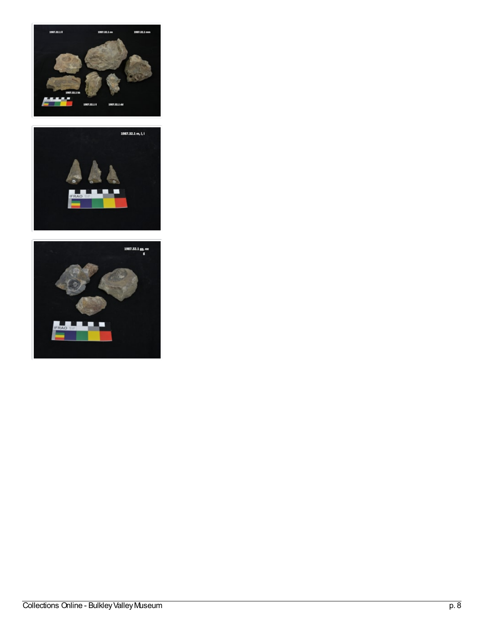



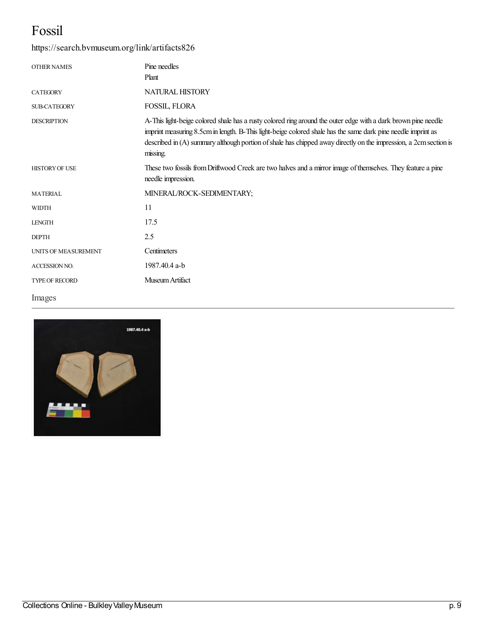| https://search.bvmuseum.org/link/artifacts826 |  |  |  |  |
|-----------------------------------------------|--|--|--|--|
|-----------------------------------------------|--|--|--|--|

| <b>OTHER NAMES</b>    | Pine needles                                                                                                                                                                                                                                                                                                                                                  |
|-----------------------|---------------------------------------------------------------------------------------------------------------------------------------------------------------------------------------------------------------------------------------------------------------------------------------------------------------------------------------------------------------|
|                       | Plant                                                                                                                                                                                                                                                                                                                                                         |
| <b>CATEGORY</b>       | <b>NATURAL HISTORY</b>                                                                                                                                                                                                                                                                                                                                        |
| <b>SUB-CATEGORY</b>   | <b>FOSSIL, FLORA</b>                                                                                                                                                                                                                                                                                                                                          |
| <b>DESCRIPTION</b>    | A-This light-beige colored shale has a rusty colored ring around the outer edge with a dark brown pine needle<br>imprint measuring 8.5cm in length. B-This light-beige colored shale has the same dark pine needle imprint as<br>described in (A) summary although portion of shale has chipped away directly on the impression, a 2cm section is<br>missing. |
| <b>HISTORY OF USE</b> | These two fossils from Driftwood Creek are two halves and a mirror image of themselves. They feature a pine<br>needle impression.                                                                                                                                                                                                                             |
| <b>MATERIAL</b>       | MINERAL/ROCK-SEDIMENTARY;                                                                                                                                                                                                                                                                                                                                     |
| <b>WIDTH</b>          | 11                                                                                                                                                                                                                                                                                                                                                            |
| <b>LENGTH</b>         | 17.5                                                                                                                                                                                                                                                                                                                                                          |
| <b>DEPTH</b>          | 2.5                                                                                                                                                                                                                                                                                                                                                           |
| UNITS OF MEASUREMENT  | Centimeters                                                                                                                                                                                                                                                                                                                                                   |
| ACCESSION NO.         | 1987.40.4 a-b                                                                                                                                                                                                                                                                                                                                                 |
| <b>TYPE OF RECORD</b> | Museum Artifact                                                                                                                                                                                                                                                                                                                                               |
| Images                |                                                                                                                                                                                                                                                                                                                                                               |

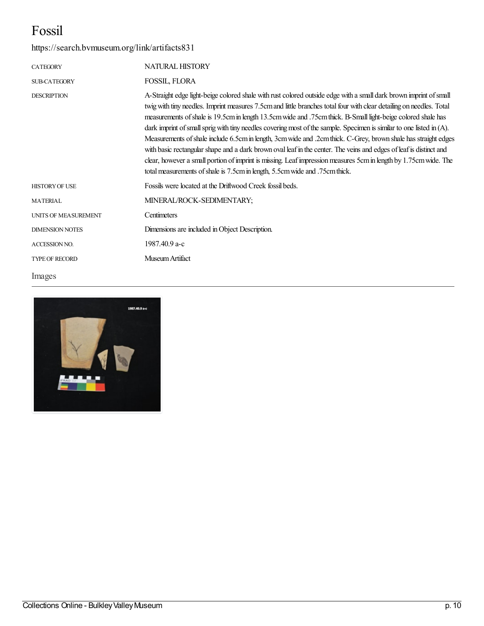| <b>CATEGORY</b>        | <b>NATURAL HISTORY</b>                                                                                                                                                                                                                                                                                                                                                                                                                                                                                                                                                                                                                                                                                                                                                                                                                                                                                                       |
|------------------------|------------------------------------------------------------------------------------------------------------------------------------------------------------------------------------------------------------------------------------------------------------------------------------------------------------------------------------------------------------------------------------------------------------------------------------------------------------------------------------------------------------------------------------------------------------------------------------------------------------------------------------------------------------------------------------------------------------------------------------------------------------------------------------------------------------------------------------------------------------------------------------------------------------------------------|
| <b>SUB-CATEGORY</b>    | FOSSIL, FLORA                                                                                                                                                                                                                                                                                                                                                                                                                                                                                                                                                                                                                                                                                                                                                                                                                                                                                                                |
| <b>DESCRIPTION</b>     | A-Straight edge light-beige colored shale with rust colored outside edge with a small dark brown imprint of small<br>twig with tiny needles. Imprint measures 7.5cm and little branches total four with clear detailing on needles. Total<br>measurements of shale is 19.5cm in length 13.5cm wide and .75cm thick. B-Small light-beige colored shale has<br>dark imprint of small sprig with tiny needles covering most of the sample. Specimen is similar to one listed in (A).<br>Measurements of shale include 6.5cm in length, 3cm wide and .2cm thick. C-Grey, brown shale has straight edges<br>with basic rectangular shape and a dark brown oval leaf in the center. The veins and edges of leaf is distinct and<br>clear, however a small portion of imprint is missing. Leaf impression measures 5cm in length by 1.75cm wide. The<br>total measurements of shale is 7.5cm in length, 5.5cm wide and .75cm thick. |
| <b>HISTORY OF USE</b>  | Fossils were located at the Driftwood Creek fossil beds.                                                                                                                                                                                                                                                                                                                                                                                                                                                                                                                                                                                                                                                                                                                                                                                                                                                                     |
| <b>MATERIAL</b>        | MINERAL/ROCK-SEDIMENTARY;                                                                                                                                                                                                                                                                                                                                                                                                                                                                                                                                                                                                                                                                                                                                                                                                                                                                                                    |
| UNITS OF MEASUREMENT   | Centimeters                                                                                                                                                                                                                                                                                                                                                                                                                                                                                                                                                                                                                                                                                                                                                                                                                                                                                                                  |
| <b>DIMENSION NOTES</b> | Dimensions are included in Object Description.                                                                                                                                                                                                                                                                                                                                                                                                                                                                                                                                                                                                                                                                                                                                                                                                                                                                               |
| <b>ACCESSION NO.</b>   | 1987.40.9 a-c                                                                                                                                                                                                                                                                                                                                                                                                                                                                                                                                                                                                                                                                                                                                                                                                                                                                                                                |
| <b>TYPE OF RECORD</b>  | Museum Artifact                                                                                                                                                                                                                                                                                                                                                                                                                                                                                                                                                                                                                                                                                                                                                                                                                                                                                                              |
| Images                 |                                                                                                                                                                                                                                                                                                                                                                                                                                                                                                                                                                                                                                                                                                                                                                                                                                                                                                                              |

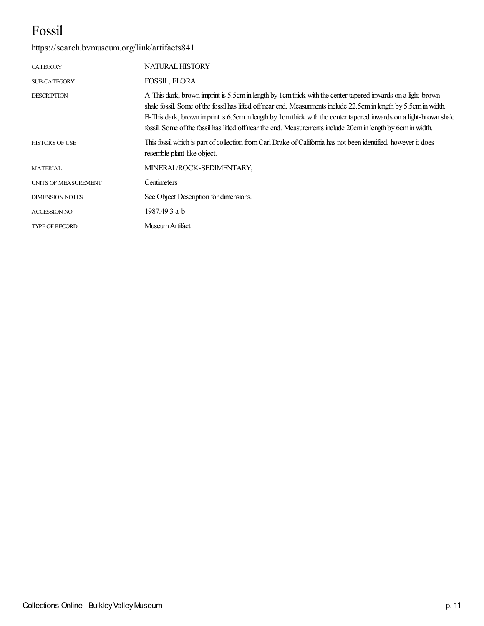| <b>CATEGORY</b>        | <b>NATURAL HISTORY</b>                                                                                                                                                                                                                                                                                                                                                                                                                                                |
|------------------------|-----------------------------------------------------------------------------------------------------------------------------------------------------------------------------------------------------------------------------------------------------------------------------------------------------------------------------------------------------------------------------------------------------------------------------------------------------------------------|
| <b>SUB-CATEGORY</b>    | <b>FOSSIL, FLORA</b>                                                                                                                                                                                                                                                                                                                                                                                                                                                  |
| <b>DESCRIPTION</b>     | A-This dark, brown imprint is 5.5cm in length by 1cm thick with the center tapered inwards on a light-brown<br>shale fossil. Some of the fossil has lifted off near end. Measurments include 22.5cm in length by 5.5cm in width.<br>B-This dark, brown imprint is 6.5cm in length by 1cm thick with the center tapered inwards on a light-brown shale<br>fossil. Some of the fossil has lifted off near the end. Measurements include 20cm in length by 6cm in width. |
| <b>HISTORY OF USE</b>  | This fossil which is part of collection from Carl Drake of California has not been identified, however it does<br>resemble plant-like object.                                                                                                                                                                                                                                                                                                                         |
| <b>MATERIAL</b>        | MINERAL/ROCK-SEDIMENTARY;                                                                                                                                                                                                                                                                                                                                                                                                                                             |
| UNITS OF MEASUREMENT   | Centimeters                                                                                                                                                                                                                                                                                                                                                                                                                                                           |
| <b>DIMENSION NOTES</b> | See Object Description for dimensions.                                                                                                                                                                                                                                                                                                                                                                                                                                |
| <b>ACCESSION NO.</b>   | 1987.49.3 a-b                                                                                                                                                                                                                                                                                                                                                                                                                                                         |
| <b>TYPE OF RECORD</b>  | Museum Artifact                                                                                                                                                                                                                                                                                                                                                                                                                                                       |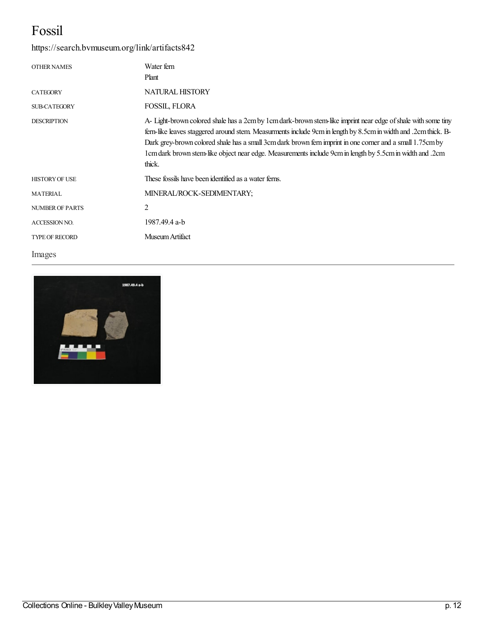| <b>OTHER NAMES</b>     | Water fern<br>Plant                                                                                                                                                                                                                                                                                                                                                                                                                                                |
|------------------------|--------------------------------------------------------------------------------------------------------------------------------------------------------------------------------------------------------------------------------------------------------------------------------------------------------------------------------------------------------------------------------------------------------------------------------------------------------------------|
| <b>CATEGORY</b>        | <b>NATURAL HISTORY</b>                                                                                                                                                                                                                                                                                                                                                                                                                                             |
| <b>SUB-CATEGORY</b>    | FOSSIL, FLORA                                                                                                                                                                                                                                                                                                                                                                                                                                                      |
| <b>DESCRIPTION</b>     | A- Light-brown colored shale has a 2cm by 1cm dark-brown stem-like imprint near edge of shale with some tiny<br>fern-like leaves staggered around stem. Measurments include 9cm in length by 8.5cm in width and .2cm thick. B-<br>Dark grey-brown colored shale has a small 3cm dark brown fern imprint in one corner and a small 1.75cm by<br>1 cm dark brown stem-like object near edge. Measurements include 9cm in length by 5.5cm in width and .2cm<br>thick. |
| <b>HISTORY OF USE</b>  | These fossils have been identified as a water ferns.                                                                                                                                                                                                                                                                                                                                                                                                               |
| <b>MATERIAL</b>        | MINERAL/ROCK-SEDIMENTARY;                                                                                                                                                                                                                                                                                                                                                                                                                                          |
| <b>NUMBER OF PARTS</b> | 2                                                                                                                                                                                                                                                                                                                                                                                                                                                                  |
| <b>ACCESSION NO.</b>   | 1987.49.4 a-b                                                                                                                                                                                                                                                                                                                                                                                                                                                      |
| <b>TYPE OF RECORD</b>  | Museum Artifact                                                                                                                                                                                                                                                                                                                                                                                                                                                    |

Images

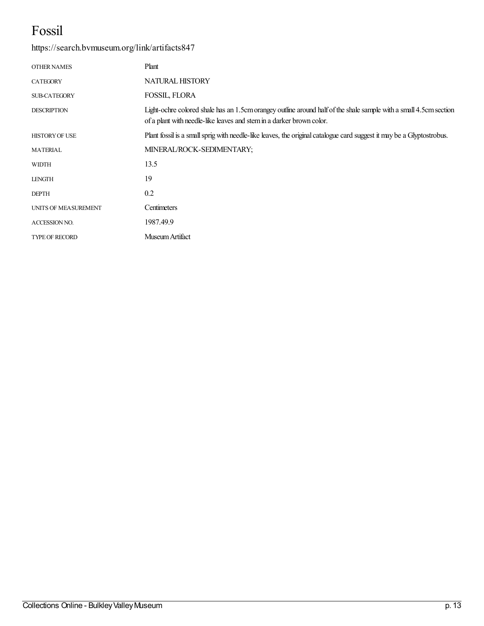| <b>OTHER NAMES</b>    | Plant                                                                                                                                                                                     |
|-----------------------|-------------------------------------------------------------------------------------------------------------------------------------------------------------------------------------------|
| <b>CATEGORY</b>       | <b>NATURAL HISTORY</b>                                                                                                                                                                    |
| <b>SUB-CATEGORY</b>   | FOSSIL, FLORA                                                                                                                                                                             |
| <b>DESCRIPTION</b>    | Light-ochre colored shale has an 1.5cm orangey outline around half of the shale sample with a small 4.5cm section<br>of a plant with needle-like leaves and stem in a darker brown color. |
| <b>HISTORY OF USE</b> | Plant fossil is a small sprig with needle-like leaves, the original catalogue card suggest it may be a Glyptostrobus.                                                                     |
| <b>MATERIAL</b>       | MINERAL/ROCK-SEDIMENTARY;                                                                                                                                                                 |
| <b>WIDTH</b>          | 13.5                                                                                                                                                                                      |
| <b>LENGTH</b>         | 19                                                                                                                                                                                        |
| <b>DEPTH</b>          | 0.2                                                                                                                                                                                       |
| UNITS OF MEASUREMENT  | <b>Centimeters</b>                                                                                                                                                                        |
| <b>ACCESSION NO.</b>  | 1987.49.9                                                                                                                                                                                 |
| <b>TYPE OF RECORD</b> | Museum Artifact                                                                                                                                                                           |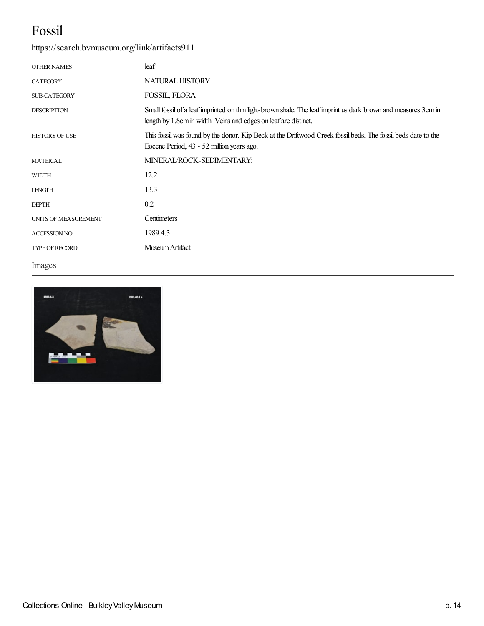| <b>OTHER NAMES</b>    | leaf                                                                                                                                                                              |
|-----------------------|-----------------------------------------------------------------------------------------------------------------------------------------------------------------------------------|
| <b>CATEGORY</b>       | <b>NATURAL HISTORY</b>                                                                                                                                                            |
| <b>SUB-CATEGORY</b>   | FOSSIL, FLORA                                                                                                                                                                     |
| <b>DESCRIPTION</b>    | Small fossil of a leaf imprinted on thin light-brown shale. The leaf imprint us dark brown and measures 3cm in<br>length by 1.8cm in width. Veins and edges on leaf are distinct. |
| <b>HISTORY OF USE</b> | This fossil was found by the donor, Kip Beck at the Driftwood Creek fossil beds. The fossil beds date to the<br>Eocene Period, 43 - 52 million years ago.                         |
| <b>MATERIAL</b>       | MINERAL/ROCK-SEDIMENTARY;                                                                                                                                                         |
| <b>WIDTH</b>          | 12.2                                                                                                                                                                              |
| <b>LENGTH</b>         | 13.3                                                                                                                                                                              |
| <b>DEPTH</b>          | 0.2                                                                                                                                                                               |
| UNITS OF MEASUREMENT  | Centimeters                                                                                                                                                                       |
| ACCESSION NO.         | 1989.4.3                                                                                                                                                                          |
| <b>TYPE OF RECORD</b> | Museum Artifact                                                                                                                                                                   |
| Images                |                                                                                                                                                                                   |

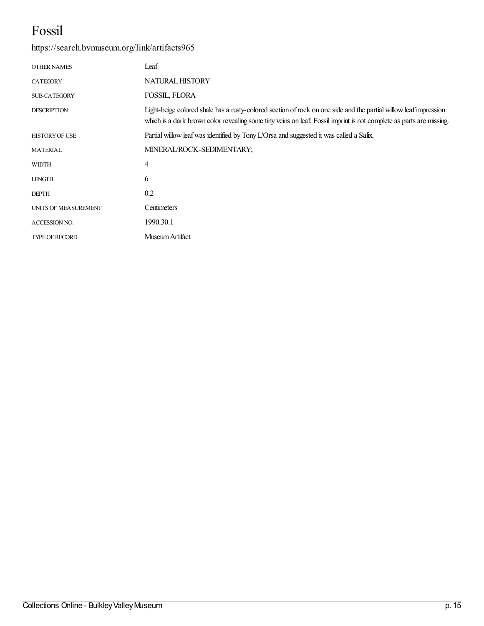| <b>OTHER NAMES</b>    | Leaf                                                                                                                                                                                                                                    |
|-----------------------|-----------------------------------------------------------------------------------------------------------------------------------------------------------------------------------------------------------------------------------------|
| <b>CATEGORY</b>       | NATURAL HISTORY                                                                                                                                                                                                                         |
| <b>SUB-CATEGORY</b>   | <b>FOSSIL, FLORA</b>                                                                                                                                                                                                                    |
| <b>DESCRIPTION</b>    | Light-beige colored shale has a rusty-colored section of rock on one side and the partial willow leaf impression<br>which is a dark brown color revealing some tiny veins on leaf. Fossil imprint is not complete as parts are missing. |
| <b>HISTORY OF USE</b> | Partial willow leaf was identified by Tony L'Orsa and suggested it was called a Salix.                                                                                                                                                  |
| <b>MATERIAL</b>       | MINERAL/ROCK-SEDIMENTARY;                                                                                                                                                                                                               |
| <b>WIDTH</b>          | 4                                                                                                                                                                                                                                       |
| <b>LENGTH</b>         | 6                                                                                                                                                                                                                                       |
| <b>DEPTH</b>          | 0.2                                                                                                                                                                                                                                     |
| UNITS OF MEASUREMENT  | Centimeters                                                                                                                                                                                                                             |
| ACCESSION NO.         | 1990.30.1                                                                                                                                                                                                                               |
| <b>TYPE OF RECORD</b> | Museum Artifact                                                                                                                                                                                                                         |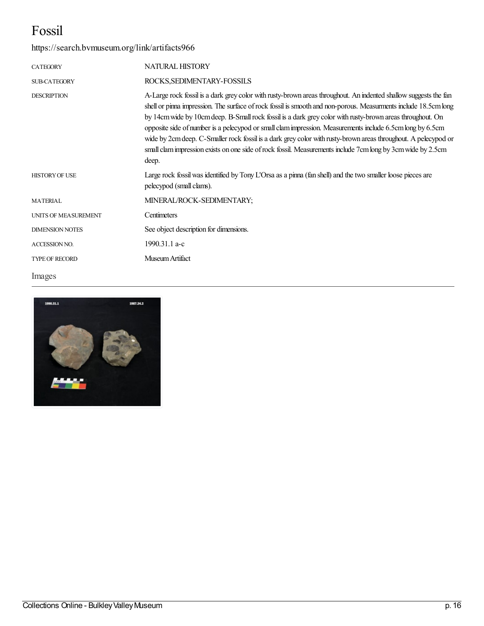<https://search.bvmuseum.org/link/artifacts966>

| <b>CATEGORY</b>        | <b>NATURAL HISTORY</b>                                                                                                                                                                                                                                                                                                                                                                                                                                                                                                                                                                                                                                                                                  |
|------------------------|---------------------------------------------------------------------------------------------------------------------------------------------------------------------------------------------------------------------------------------------------------------------------------------------------------------------------------------------------------------------------------------------------------------------------------------------------------------------------------------------------------------------------------------------------------------------------------------------------------------------------------------------------------------------------------------------------------|
| <b>SUB-CATEGORY</b>    | ROCKS, SEDIMENTARY-FOSSILS                                                                                                                                                                                                                                                                                                                                                                                                                                                                                                                                                                                                                                                                              |
| <b>DESCRIPTION</b>     | A-Large rock fossil is a dark grey color with rusty-brown areas throughout. An indented shallow suggests the fan<br>shell or pinna impression. The surface of rock fossil is smooth and non-porous. Measurments include 18.5cm long<br>by 14cm wide by 10cm deep. B-Small rock fossil is a dark grey color with rusty-brown areas throughout. On<br>opposite side of number is a pelecypod or small clam impression. Measurements include 6.5cm long by 6.5cm<br>wide by 2cm deep. C-Smaller rock fossil is a dark grey color with rusty-brown areas throughout. A pelecypod or<br>small clam impression exists on one side of rock fossil. Measurements include 7cm long by 3cm wide by 2.5cm<br>deep. |
| <b>HISTORY OF USE</b>  | Large rock fossil was identified by Tony L'Orsa as a pinna (fan shell) and the two smaller loose pieces are<br>pelecypod (small clams).                                                                                                                                                                                                                                                                                                                                                                                                                                                                                                                                                                 |
| <b>MATERIAL</b>        | MINERAL/ROCK-SEDIMENTARY;                                                                                                                                                                                                                                                                                                                                                                                                                                                                                                                                                                                                                                                                               |
| UNITS OF MEASUREMENT   | Centimeters                                                                                                                                                                                                                                                                                                                                                                                                                                                                                                                                                                                                                                                                                             |
| <b>DIMENSION NOTES</b> | See object description for dimensions.                                                                                                                                                                                                                                                                                                                                                                                                                                                                                                                                                                                                                                                                  |
| ACCESSION NO.          | 1990.31.1 a-c                                                                                                                                                                                                                                                                                                                                                                                                                                                                                                                                                                                                                                                                                           |
| <b>TYPE OF RECORD</b>  | Museum Artifact                                                                                                                                                                                                                                                                                                                                                                                                                                                                                                                                                                                                                                                                                         |
|                        |                                                                                                                                                                                                                                                                                                                                                                                                                                                                                                                                                                                                                                                                                                         |

Images

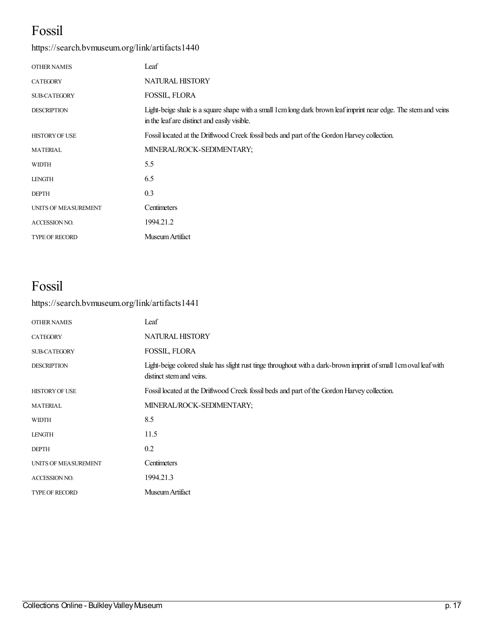<https://search.bvmuseum.org/link/artifacts1440>

| <b>OTHER NAMES</b>    | Leaf                                                                                                                                                            |
|-----------------------|-----------------------------------------------------------------------------------------------------------------------------------------------------------------|
| <b>CATEGORY</b>       | <b>NATURAL HISTORY</b>                                                                                                                                          |
| <b>SUB-CATEGORY</b>   | FOSSIL, FLORA                                                                                                                                                   |
| <b>DESCRIPTION</b>    | Light-beige shale is a square shape with a small 1cm long dark brown leaf imprint near edge. The stem and veins<br>in the leaf are distinct and easily visible. |
| <b>HISTORY OF USE</b> | Fossil located at the Driftwood Creek fossil beds and part of the Gordon Harvey collection.                                                                     |
| <b>MATERIAL</b>       | MINERAL/ROCK-SEDIMENTARY;                                                                                                                                       |
| <b>WIDTH</b>          | 5.5                                                                                                                                                             |
| <b>LENGTH</b>         | 6.5                                                                                                                                                             |
| <b>DEPTH</b>          | 0.3                                                                                                                                                             |
| UNITS OF MEASUREMENT  | Centimeters                                                                                                                                                     |
| ACCESSION NO.         | 1994.21.2                                                                                                                                                       |
| <b>TYPE OF RECORD</b> | Museum Artifact                                                                                                                                                 |

### Fossil

| <b>OTHER NAMES</b>    | Leaf                                                                                                                                          |
|-----------------------|-----------------------------------------------------------------------------------------------------------------------------------------------|
| <b>CATEGORY</b>       | NATURAL HISTORY                                                                                                                               |
| <b>SUB-CATEGORY</b>   | FOSSIL, FLORA                                                                                                                                 |
| <b>DESCRIPTION</b>    | Light-beige colored shale has slight rust tinge throughout with a dark-brown imprint of small 1 cm oval leaf with<br>distinct stem and veins. |
| <b>HISTORY OF USE</b> | Fossil located at the Driftwood Creek fossil beds and part of the Gordon Harvey collection.                                                   |
| <b>MATERIAL</b>       | MINERAL/ROCK-SEDIMENTARY;                                                                                                                     |
| <b>WIDTH</b>          | 8.5                                                                                                                                           |
| <b>LENGTH</b>         | 11.5                                                                                                                                          |
| <b>DEPTH</b>          | 0.2                                                                                                                                           |
| UNITS OF MEASUREMENT  | Centimeters                                                                                                                                   |
| ACCESSION NO.         | 1994.21.3                                                                                                                                     |
| <b>TYPE OF RECORD</b> | Museum Artifact                                                                                                                               |